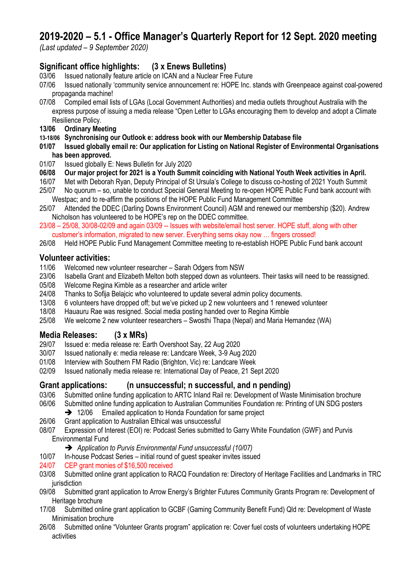# **2019-2020 – 5.1 - Office Manager's Quarterly Report for 12 Sept. 2020 meeting**

*(Last updated – 9 September 2020)*

## **Significant office highlights: (3 x Enews Bulletins)**

- 03/06 Issued nationally feature article on ICAN and a Nuclear Free Future
- 07/06 Issued nationally 'community service announcement re: HOPE Inc. stands with Greenpeace against coal-powered propaganda machine!
- 07/08 Compiled email lists of LGAs (Local Government Authorities) and media outlets throughout Australia with the express purpose of issuing a media release "Open Letter to LGAs encouraging them to develop and adopt a Climate Resilience Policy.
- **13/06 Ordinary Meeting**
- **13-18/06 Synchronising our Outlook e: address book with our Membership Database file**
- **01/07 Issued globally email re: Our application for Listing on National Register of Environmental Organisations has been approved.**
- 01/07 Issued globally E: News Bulletin for July 2020
- **06/08 Our major project for 2021 is a Youth Summit coinciding with National Youth Week activities in April.**
- 16/07 Met with Deborah Ryan, Deputy Principal of St Ursula's College to discuss co-hosting of 2021 Youth Summit
- 25/07 No quorum so, unable to conduct Special General Meeting to re-open HOPE Public Fund bank account with Westpac; and to re-affirm the positions of the HOPE Public Fund Management Committee
- 25/07 Attended the DDEC (Darling Downs Environment Council) AGM and renewed our membership (\$20). Andrew Nicholson has volunteered to be HOPE's rep on the DDEC committee.
- 23/08 25/08, 30/08-02/09 and again 03/09 -- Issues with website/email host server. HOPE stuff, along with other customer's information, migrated to new server. Everything sems okay now … fingers crossed!
- 26/08 Held HOPE Public Fund Management Committee meeting to re-establish HOPE Public Fund bank account

## **Volunteer activities:**

- 11/06 Welcomed new volunteer researcher Sarah Odgers from NSW
- 23/06 Isabella Grant and Elizabeth Melton both stepped down as volunteers. Their tasks will need to be reassigned.
- 05/08 Welcome Regina Kimble as a researcher and article writer
- 24/08 Thanks to Sofija Belajcic who volunteered to update several admin policy documents.
- 13/08 6 volunteers have dropped off; but we've picked up 2 new volunteers and 1 renewed volunteer
- 18/08 Hauauru Rae was resigned. Social media posting handed over to Regina Kimble
- 25/08 We welcome 2 new volunteer researchers Swosthi Thapa (Nepal) and Maria Hernandez (WA)

## **Media Releases: (3 x MRs)**

- 29/07 Issued e: media release re: Earth Overshoot Say, 22 Aug 2020
- 30/07 Issued nationally e: media release re: Landcare Week, 3-9 Aug 2020
- 01/08 Interview with Southern FM Radio (Brighton, Vic) re: Landcare Week
- 02/09 Issued nationally media release re: International Day of Peace, 21 Sept 2020

## **Grant applications: (n unsuccessful; n successful, and n pending)**

- 03/06 Submitted online funding application to ARTC Inland Rail re: Development of Waste Minimisation brochure
- 06/06 Submitted online funding application to Australian Communities Foundation re: Printing of UN SDG posters
	- **→** 12/06 Emailed application to Honda Foundation for same project
- 26/06 Grant application to Australian Ethical was unsuccessful
- 08/07 Expression of Interest (EOI) re: Podcast Series submitted to Garry White Foundation (GWF) and Purvis Environmental Fund
	- ➔ *Application to Purvis Environmental Fund unsuccessful (10/07)*
- 10/07 In-house Podcast Series initial round of guest speaker invites issued
- 24/07 CEP grant monies of \$16,500 received
- 03/08 Submitted online grant application to RACQ Foundation re: Directory of Heritage Facilities and Landmarks in TRC jurisdiction
- 09/08 Submitted grant application to Arrow Energy's Brighter Futures Community Grants Program re: Development of Heritage brochure
- 17/08 Submitted online grant application to GCBF (Gaming Community Benefit Fund) Qld re: Development of Waste Minimisation brochure
- 26/08 Submitted online "Volunteer Grants program" application re: Cover fuel costs of volunteers undertaking HOPE activities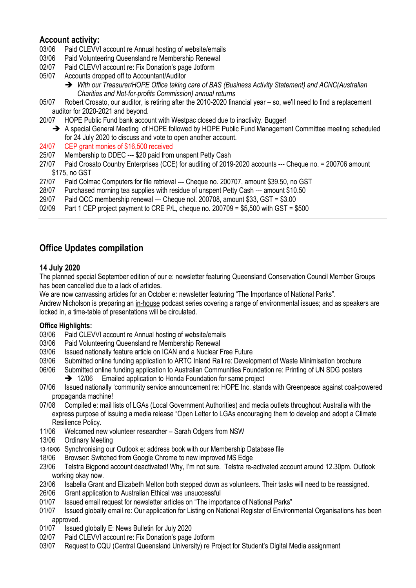## **Account activity:**

- 03/06 Paid CLEVVI account re Annual hosting of website/emails
- 03/06 Paid Volunteering Queensland re Membership Renewal
- 02/07 Paid CLEVVI account re: Fix Donation's page Jotform
- 05/07 Accounts dropped off to Accountant/Auditor
	- ➔ *With our Treasurer/HOPE Office taking care of BAS (Business Activity Statement) and ACNC(Australian Charities and Not-for-profits Commission) annual returns*
- 05/07 Robert Crosato, our auditor, is retiring after the 2010-2020 financial year so, we'll need to find a replacement auditor for 2020-2021 and beyond.
- 20/07 HOPE Public Fund bank account with Westpac closed due to inactivity. Bugger!
	- → A special General Meeting of HOPE followed by HOPE Public Fund Management Committee meeting scheduled for 24 July 2020 to discuss and vote to open another account.
- 24/07 CEP grant monies of \$16,500 received
- 25/07 Membership to DDEC --- \$20 paid from unspent Petty Cash
- 27/07 Paid Crosato Country Enterprises (CCE) for auditing of 2019-2020 accounts --- Cheque no. = 200706 amount \$175, no GST
- 27/07 Paid Colmac Computers for file retrieval --- Cheque no. 200707, amount \$39.50, no GST
- 28/07 Purchased morning tea supplies with residue of unspent Petty Cash --- amount \$10.50
- 29/07 Paid QCC membership renewal --- Cheque nol. 200708, amount \$33, GST = \$3.00
- 02/09 Part 1 CEP project payment to CRE P/L, cheque no. 200709 = \$5,500 with GST =  $$500$

## **Office Updates compilation**

## **14 July 2020**

The planned special September edition of our e: newsletter featuring Queensland Conservation Council Member Groups has been cancelled due to a lack of articles.

We are now canvassing articles for an October e: newsletter featuring "The Importance of National Parks".

Andrew Nicholson is preparing an in-house podcast series covering a range of environmental issues; and as speakers are locked in, a time-table of presentations will be circulated.

### **Office Highlights:**

- 03/06 Paid CLEVVI account re Annual hosting of website/emails
- 03/06 Paid Volunteering Queensland re Membership Renewal
- 03/06 Issued nationally feature article on ICAN and a Nuclear Free Future
- 03/06 Submitted online funding application to ARTC Inland Rail re: Development of Waste Minimisation brochure
- 06/06 Submitted online funding application to Australian Communities Foundation re: Printing of UN SDG posters
	- **→** 12/06 Emailed application to Honda Foundation for same project
- 07/06 Issued nationally 'community service announcement re: HOPE Inc. stands with Greenpeace against coal-powered propaganda machine!
- 07/08 Compiled e: mail lists of LGAs (Local Government Authorities) and media outlets throughout Australia with the express purpose of issuing a media release "Open Letter to LGAs encouraging them to develop and adopt a Climate Resilience Policy.
- 11/06 Welcomed new volunteer researcher Sarah Odgers from NSW
- 13/06 Ordinary Meeting
- 13-18/06 Synchronising our Outlook e: address book with our Membership Database file
- 18/06 Browser: Switched from Google Chrome to new improved MS Edge
- 23/06 Telstra Bigpond account deactivated! Why, I'm not sure. Telstra re-activated account around 12.30pm. Outlook working okay now.
- 23/06 Isabella Grant and Elizabeth Melton both stepped down as volunteers. Their tasks will need to be reassigned.
- 26/06 Grant application to Australian Ethical was unsuccessful
- 01/07 Issued email request for newsletter articles on "The importance of National Parks"
- 01/07 Issued globally email re: Our application for Listing on National Register of Environmental Organisations has been approved.
- 01/07 Issued globally E: News Bulletin for July 2020
- 02/07 Paid CLEVVI account re: Fix Donation's page Jotform
- 03/07 Request to CQU (Central Queensland University) re Project for Student's Digital Media assignment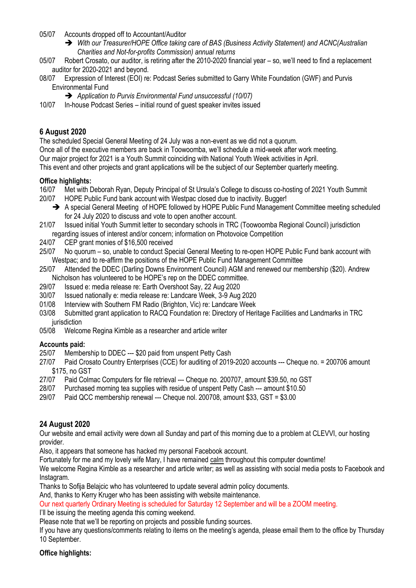05/07 Accounts dropped off to Accountant/Auditor

- ➔ *With our Treasurer/HOPE Office taking care of BAS (Business Activity Statement) and ACNC(Australian Charities and Not-for-profits Commission) annual returns*
- 05/07 Robert Crosato, our auditor, is retiring after the 2010-2020 financial year so, we'll need to find a replacement auditor for 2020-2021 and beyond.
- 08/07 Expression of Interest (EOI) re: Podcast Series submitted to Garry White Foundation (GWF) and Purvis Environmental Fund
	- ➔ *Application to Purvis Environmental Fund unsuccessful (10/07)*
- 10/07 In-house Podcast Series initial round of guest speaker invites issued

### **6 August 2020**

The scheduled Special General Meeting of 24 July was a non-event as we did not a quorum.

Once all of the executive members are back in Toowoomba, we'll schedule a mid-week after work meeting. Our major project for 2021 is a Youth Summit coinciding with National Youth Week activities in April. This event and other projects and grant applications will be the subject of our September quarterly meeting.

#### **Office highlights:**

- 16/07 Met with Deborah Ryan, Deputy Principal of St Ursula's College to discuss co-hosting of 2021 Youth Summit 20/07 HOPE Public Fund bank account with Westpac closed due to inactivity. Bugger!
	- → A special General Meeting of HOPE followed by HOPE Public Fund Management Committee meeting scheduled for 24 July 2020 to discuss and vote to open another account.
- 21/07 Issued initial Youth Summit letter to secondary schools in TRC (Toowoomba Regional Council) jurisdiction regarding issues of interest and/or concern; information on Photovoice Competition
- 24/07 CEP grant monies of \$16,500 received
- 25/07 No quorum so, unable to conduct Special General Meeting to re-open HOPE Public Fund bank account with Westpac; and to re-affirm the positions of the HOPE Public Fund Management Committee
- 25/07 Attended the DDEC (Darling Downs Environment Council) AGM and renewed our membership (\$20). Andrew Nicholson has volunteered to be HOPE's rep on the DDEC committee.
- 29/07 Issued e: media release re: Earth Overshoot Say, 22 Aug 2020
- 30/07 Issued nationally e: media release re: Landcare Week, 3-9 Aug 2020
- 01/08 Interview with Southern FM Radio (Brighton, Vic) re: Landcare Week
- 03/08 Submitted grant application to RACQ Foundation re: Directory of Heritage Facilities and Landmarks in TRC jurisdiction
- 05/08 Welcome Regina Kimble as a researcher and article writer

#### **Accounts paid:**

- 25/07 Membership to DDEC --- \$20 paid from unspent Petty Cash
- 27/07 Paid Crosato Country Enterprises (CCE) for auditing of 2019-2020 accounts --- Cheque no. = 200706 amount \$175, no GST
- 27/07 Paid Colmac Computers for file retrieval --- Cheque no. 200707, amount \$39.50, no GST
- 28/07 Purchased morning tea supplies with residue of unspent Petty Cash --- amount \$10.50
- 29/07 Paid QCC membership renewal --- Cheque nol. 200708, amount \$33, GST = \$3.00

### **24 August 2020**

Our website and email activity were down all Sunday and part of this morning due to a problem at CLEVVI, our hosting provider.

Also, it appears that someone has hacked my personal Facebook account.

Fortunately for me and my lovely wife Mary, I have remained calm throughout this computer downtime!

We welcome Regina Kimble as a researcher and article writer; as well as assisting with social media posts to Facebook and Instagram.

Thanks to Sofija Belajcic who has volunteered to update several admin policy documents.

And, thanks to Kerry Kruger who has been assisting with website maintenance.

Our next quarterly Ordinary Meeting is scheduled for Saturday 12 September and will be a ZOOM meeting.

I'll be issuing the meeting agenda this coming weekend.

Please note that we'll be reporting on projects and possible funding sources.

If you have any questions/comments relating to items on the meeting's agenda, please email them to the office by Thursday 10 September.

#### **Office highlights:**